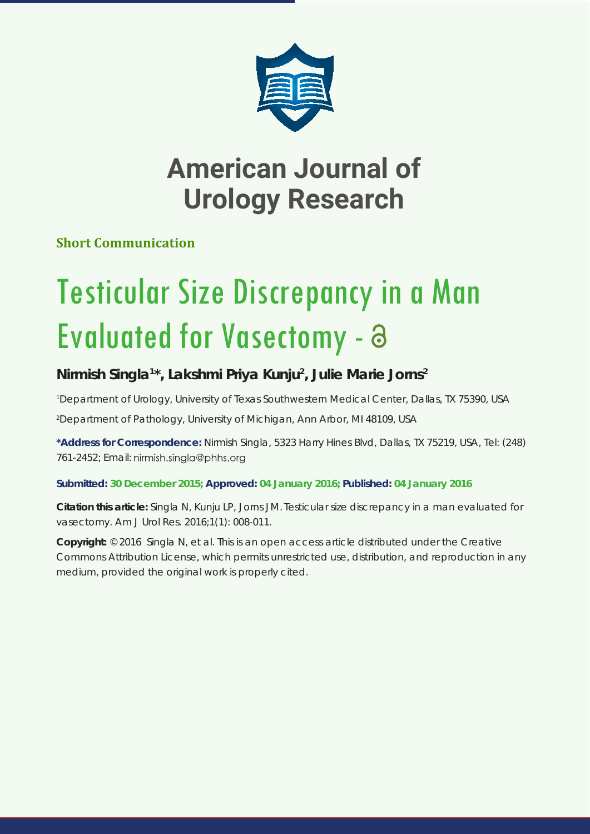

## **American Journal of Urology Research**

**Short Communication**

# Testicular Size Discrepancy in a Man Evaluated for Vasectomy -

### **Nirmish Singla1 \*, Lakshmi Priya Kunju2 , Julie Marie Jorns2**

*1 Department of Urology, University of Texas Southwestern Medical Center, Dallas, TX 75390, USA*

*2 Department of Pathology, University of Michigan, Ann Arbor, MI 48109, USA*

**\*Address for Correspondence:** Nirmish Singla, 5323 Harry Hines Blvd, Dallas, TX 75219, USA, Tel: (248) 761-2452; Email: nirmish.singla@phhs.org

#### **Submitted: 30 December 2015; Approved: 04 January 2016; Published: 04 January 2016**

**Citation this article:** Singla N, Kunju LP, Jorns JM. Testicular size discrepancy in a man evaluated for vasectomy. Am J Urol Res. 2016;1(1): 008-011.

**Copyright:** © 2016 Singla N, et al. This is an open access article distributed under the Creative Commons Attribution License, which permits unrestricted use, distribution, and reproduction in any medium, provided the original work is properly cited.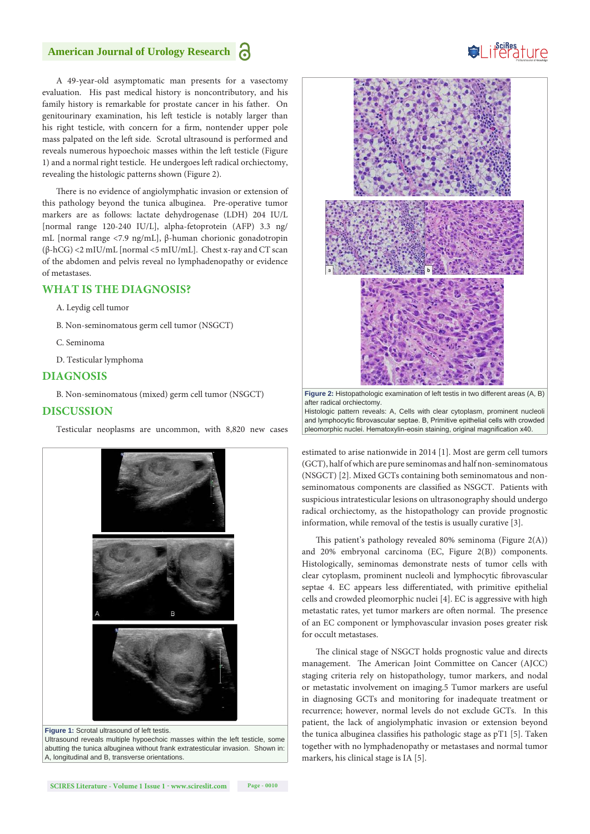#### **American Journal of Urology Research**

A 49-year-old asymptomatic man presents for a vasectomy evaluation. His past medical history is noncontributory, and his family history is remarkable for prostate cancer in his father. On genitourinary examination, his left testicle is notably larger than his right testicle, with concern for a firm, nontender upper pole mass palpated on the left side. Scrotal ultrasound is performed and reveals numerous hypoechoic masses within the left testicle (Figure 1) and a normal right testicle. He undergoes left radical orchiectomy, revealing the histologic patterns shown (Figure 2).

There is no evidence of angiolymphatic invasion or extension of this pathology beyond the tunica albuginea. Pre-operative tumor markers are as follows: lactate dehydrogenase (LDH) 204 IU/L [normal range 120-240 IU/L], alpha-fetoprotein (AFP) 3.3 ng/ mL [normal range <7.9 ng/mL], β-human chorionic gonadotropin (β-hCG) <2 mIU/mL [normal <5 mIU/mL]. Chest x-ray and CT scan of the abdomen and pelvis reveal no lymphadenopathy or evidence of metastases.

#### **WHAT IS THE DIAGNOSIS?**

- A. Leydig cell tumor
- B. Non-seminomatous germ cell tumor (NSGCT)
- C. Seminoma
- D. Testicular lymphoma

#### **DIAGNOSIS**

B. Non-seminomatous (mixed) germ cell tumor (NSGCT)

#### **DISCUSSION**

Testicular neoplasms are uncommon, with 8,820 new cases



**Figure 1:** Scrotal ultrasound of left testis. Ultrasound reveals multiple hypoechoic masses within the left testicle, some abutting the tunica albuginea without frank extratesticular invasion. Shown in: A, longitudinal and B, transverse orientations.





estimated to arise nationwide in 2014 [1]. Most are germ cell tumors (GCT), half of which are pure seminomas and half non-seminomatous (NSGCT) [2]. Mixed GCTs containing both seminomatous and nonseminomatous components are classified as NSGCT. Patients with suspicious intratesticular lesions on ultrasonography should undergo radical orchiectomy, as the histopathology can provide prognostic information, while removal of the testis is usually curative [3].

This patient's pathology revealed 80% seminoma (Figure 2(A)) and 20% embryonal carcinoma (EC, Figure 2(B)) components. Histologically, seminomas demonstrate nests of tumor cells with clear cytoplasm, prominent nucleoli and lymphocytic fibrovascular septae 4. EC appears less differentiated, with primitive epithelial cells and crowded pleomorphic nuclei [4]. EC is aggressive with high metastatic rates, yet tumor markers are often normal. The presence of an EC component or lymphovascular invasion poses greater risk for occult metastases.

The clinical stage of NSGCT holds prognostic value and directs management. The American Joint Committee on Cancer (AJCC) staging criteria rely on histopathology, tumor markers, and nodal or metastatic involvement on imaging.5 Tumor markers are useful in diagnosing GCTs and monitoring for inadequate treatment or recurrence; however, normal levels do not exclude GCTs. In this patient, the lack of angiolymphatic invasion or extension beyond the tunica albuginea classifies his pathologic stage as pT1 [5]. Taken together with no lymphadenopathy or metastases and normal tumor markers, his clinical stage is IA [5].

## Suiferature